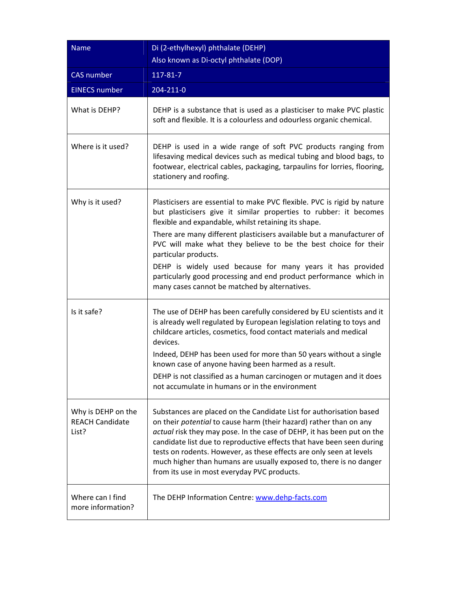| <b>Name</b>                                           | Di (2-ethylhexyl) phthalate (DEHP)<br>Also known as Di-octyl phthalate (DOP)                                                                                                                                                                                                                                                                                                                                                                                                                                                                                 |
|-------------------------------------------------------|--------------------------------------------------------------------------------------------------------------------------------------------------------------------------------------------------------------------------------------------------------------------------------------------------------------------------------------------------------------------------------------------------------------------------------------------------------------------------------------------------------------------------------------------------------------|
| <b>CAS</b> number                                     | 117-81-7                                                                                                                                                                                                                                                                                                                                                                                                                                                                                                                                                     |
| <b>EINECS number</b>                                  | 204-211-0                                                                                                                                                                                                                                                                                                                                                                                                                                                                                                                                                    |
| What is DEHP?                                         | DEHP is a substance that is used as a plasticiser to make PVC plastic<br>soft and flexible. It is a colourless and odourless organic chemical.                                                                                                                                                                                                                                                                                                                                                                                                               |
| Where is it used?                                     | DEHP is used in a wide range of soft PVC products ranging from<br>lifesaving medical devices such as medical tubing and blood bags, to<br>footwear, electrical cables, packaging, tarpaulins for lorries, flooring,<br>stationery and roofing.                                                                                                                                                                                                                                                                                                               |
| Why is it used?                                       | Plasticisers are essential to make PVC flexible. PVC is rigid by nature<br>but plasticisers give it similar properties to rubber: it becomes<br>flexible and expandable, whilst retaining its shape.<br>There are many different plasticisers available but a manufacturer of<br>PVC will make what they believe to be the best choice for their<br>particular products.<br>DEHP is widely used because for many years it has provided<br>particularly good processing and end product performance which in<br>many cases cannot be matched by alternatives. |
| Is it safe?                                           | The use of DEHP has been carefully considered by EU scientists and it<br>is already well regulated by European legislation relating to toys and<br>childcare articles, cosmetics, food contact materials and medical<br>devices.<br>Indeed, DEHP has been used for more than 50 years without a single<br>known case of anyone having been harmed as a result.<br>DEHP is not classified as a human carcinogen or mutagen and it does<br>not accumulate in humans or in the environment                                                                      |
| Why is DEHP on the<br><b>REACH Candidate</b><br>List? | Substances are placed on the Candidate List for authorisation based<br>on their potential to cause harm (their hazard) rather than on any<br>actual risk they may pose. In the case of DEHP, it has been put on the<br>candidate list due to reproductive effects that have been seen during<br>tests on rodents. However, as these effects are only seen at levels<br>much higher than humans are usually exposed to, there is no danger<br>from its use in most everyday PVC products.                                                                     |
| Where can I find<br>more information?                 | The DEHP Information Centre: www.dehp-facts.com                                                                                                                                                                                                                                                                                                                                                                                                                                                                                                              |